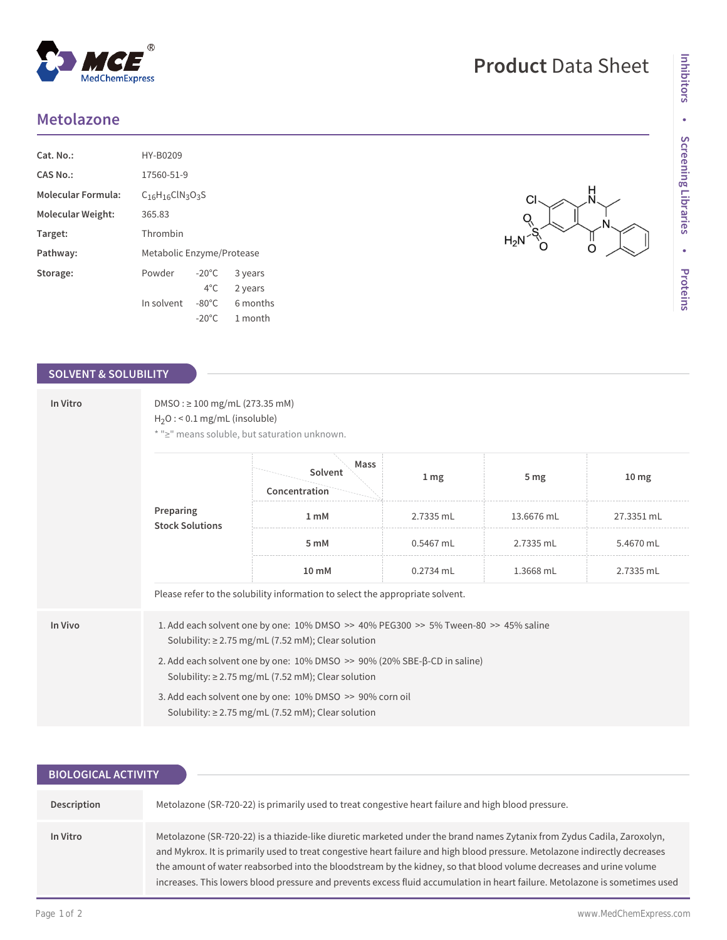## **Metolazone**

| $Cat. No.$ :              | HY-B0209                  |                 |          |  |  |
|---------------------------|---------------------------|-----------------|----------|--|--|
| CAS No.:                  | 17560-51-9                |                 |          |  |  |
| <b>Molecular Formula:</b> | $C_{16}H_{16}CIN_3O_3S$   |                 |          |  |  |
| Molecular Weight:         | 365.83                    |                 |          |  |  |
| Target:                   | Thrombin                  |                 |          |  |  |
| Pathway:                  | Metabolic Enzyme/Protease |                 |          |  |  |
| Storage:                  | Powder                    | $-20^{\circ}$ C | 3 years  |  |  |
|                           |                           | $4^{\circ}$ C.  | 2 years  |  |  |
|                           | In solvent                | $-80^{\circ}$ C | 6 months |  |  |
|                           |                           | $-20^{\circ}$ C | 1 month  |  |  |

 $^{\circledR}$ 

MedChemExpress

## **SOLVENT & SOLUBILITY**

| In Vitro | $DMSO: \geq 100$ mg/mL (273.35 mM)<br>$H_2O$ : < 0.1 mg/mL (insoluble)<br>* ">" means soluble, but saturation unknown.                            |                                                                               |                 |                 |                  |  |  |
|----------|---------------------------------------------------------------------------------------------------------------------------------------------------|-------------------------------------------------------------------------------|-----------------|-----------------|------------------|--|--|
|          |                                                                                                                                                   | Mass<br>Solvent<br>Concentration                                              | 1 <sub>mg</sub> | 5 <sub>mg</sub> | 10 <sub>mg</sub> |  |  |
|          | Preparing<br><b>Stock Solutions</b>                                                                                                               | 1 <sub>mM</sub>                                                               | 2.7335 mL       | 13.6676 mL      | 27.3351 mL       |  |  |
|          |                                                                                                                                                   | 5 mM                                                                          | 0.5467 mL       | 2.7335 mL       | 5.4670 mL        |  |  |
|          |                                                                                                                                                   | $10 \text{ mM}$                                                               | $0.2734$ mL     | 1.3668 mL       | 2.7335 mL        |  |  |
|          |                                                                                                                                                   | Please refer to the solubility information to select the appropriate solvent. |                 |                 |                  |  |  |
| In Vivo  | 1. Add each solvent one by one: 10% DMSO >> 40% PEG300 >> 5% Tween-80 >> 45% saline<br>Solubility: $\geq$ 2.75 mg/mL (7.52 mM); Clear solution    |                                                                               |                 |                 |                  |  |  |
|          | 2. Add each solvent one by one: $10\%$ DMSO $\gg$ 90% (20% SBE- $\beta$ -CD in saline)<br>Solubility: $\geq$ 2.75 mg/mL (7.52 mM); Clear solution |                                                                               |                 |                 |                  |  |  |
|          | 3. Add each solvent one by one: 10% DMSO >> 90% corn oil<br>Solubility: $\geq$ 2.75 mg/mL (7.52 mM); Clear solution                               |                                                                               |                 |                 |                  |  |  |

| <b>BIOLOGICAL ACTIVITY</b> |                                                                                                                                                                                                                                                                                                                                                                                                                                                                                                             |
|----------------------------|-------------------------------------------------------------------------------------------------------------------------------------------------------------------------------------------------------------------------------------------------------------------------------------------------------------------------------------------------------------------------------------------------------------------------------------------------------------------------------------------------------------|
| Description                | Metolazone (SR-720-22) is primarily used to treat congestive heart failure and high blood pressure.                                                                                                                                                                                                                                                                                                                                                                                                         |
| In Vitro                   | Metolazone (SR-720-22) is a thiazide-like diuretic marketed under the brand names Zytanix from Zydus Cadila, Zaroxolyn,<br>and Mykrox. It is primarily used to treat congestive heart failure and high blood pressure. Metolazone indirectly decreases<br>the amount of water reabsorbed into the bloodstream by the kidney, so that blood volume decreases and urine volume<br>increases. This lowers blood pressure and prevents excess fluid accumulation in heart failure. Metolazone is sometimes used |

CI C

ै०

 $\overline{O}$ 

 $H_2N^2$